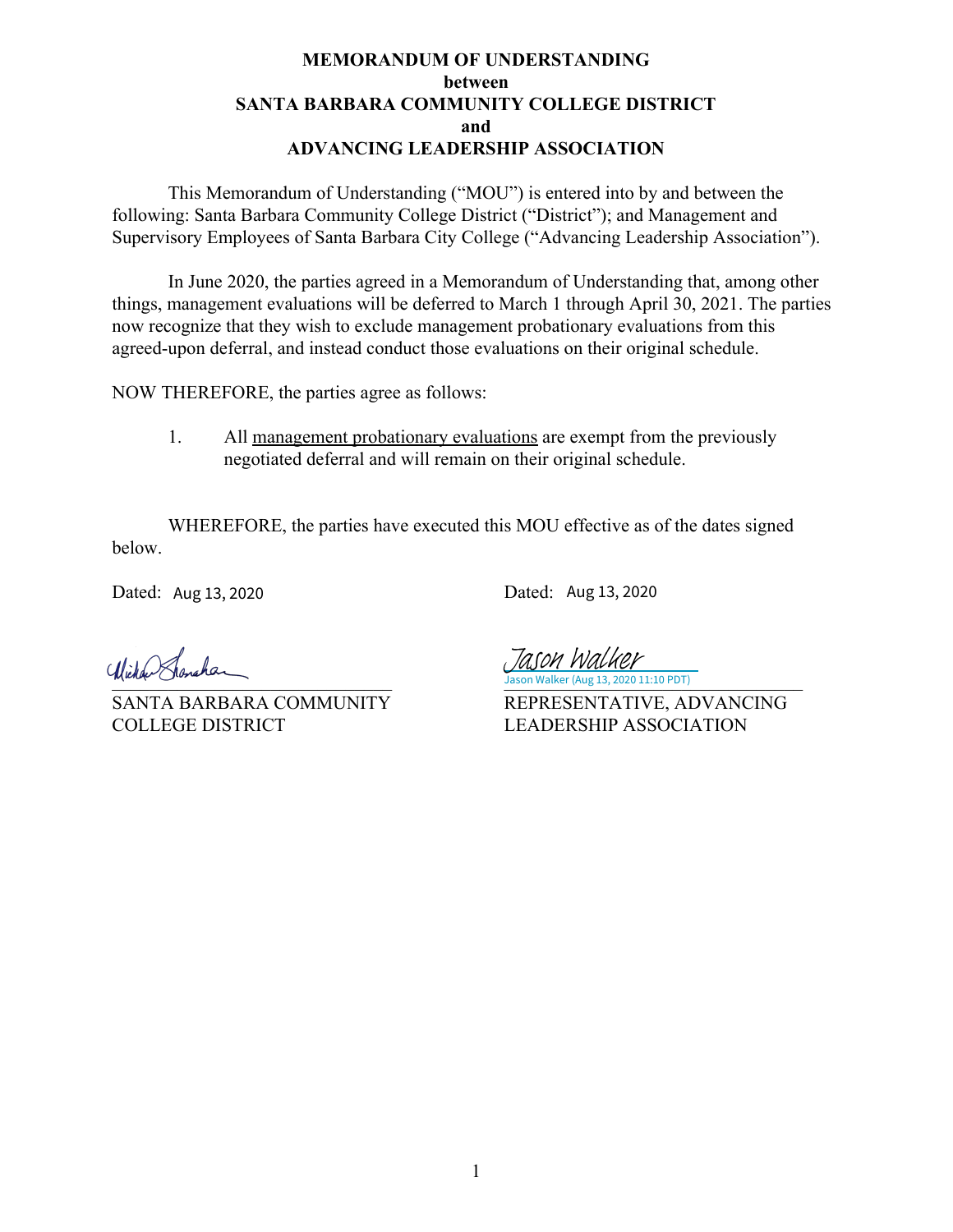## **MEMORANDUM OF UNDERSTANDING between SANTA BARBARA COMMUNITY COLLEGE DISTRICT and ADVANCING LEADERSHIP ASSOCIATION**

This Memorandum of Understanding ("MOU") is entered into by and between the following: Santa Barbara Community College District ("District"); and Management and Supervisory Employees of Santa Barbara City College ("Advancing Leadership Association").

In June 2020, the parties agreed in a Memorandum of Understanding that, among other things, management evaluations will be deferred to March 1 through April 30, 2021. The parties now recognize that they wish to exclude management probationary evaluations from this agreed-upon deferral, and instead conduct those evaluations on their original schedule.

NOW THEREFORE, the parties agree as follows:

1. All management probationary evaluations are exempt from the previously negotiated deferral and will remain on their original schedule.

WHEREFORE, the parties have executed this MOU effective as of the dates signed below.

Dated: Dated: Aug 13, 2020

Dated: Aug 13, 2020

COLLEGE DISTRICT LEADERSHIP ASSOCIATION

Jason Walker (Aug 13, 2020 11:10 PDT) Jason Walker

SANTA BARBARA COMMUNITY REPRESENTATIVE, ADVANCING